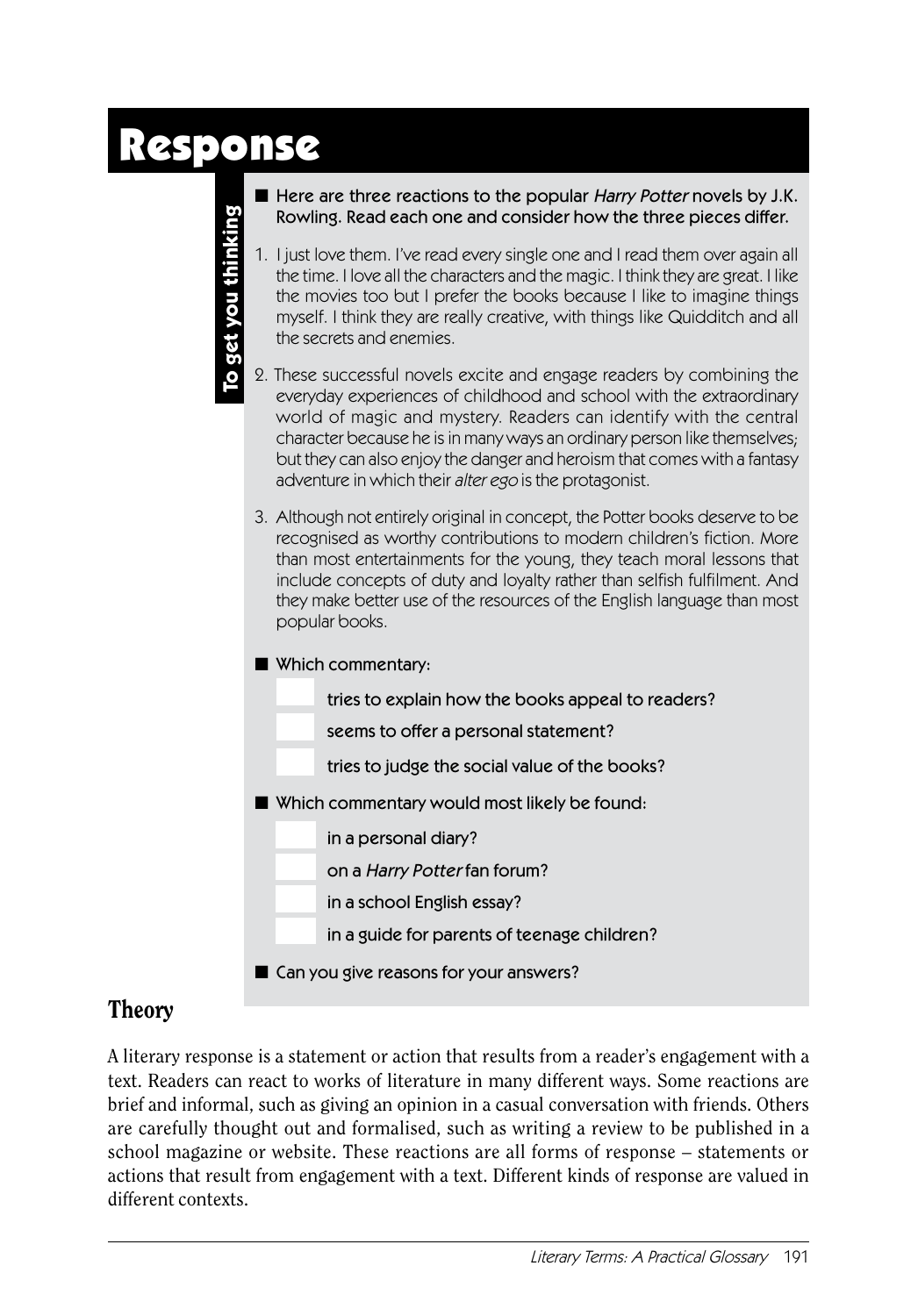# Response

**To get you thinking**

To get you thinking

- Here are three reactions to the popular Harry Potter novels by J.K. Rowling. Read each one and consider how the three pieces differ.
- 1. I just love them. I've read every single one and I read them over again all the time. I love all the characters and the magic. I think they are great. I like the movies too but I prefer the books because I like to imagine things myself. I think they are really creative, with things like Quidditch and all the secrets and enemies.
- 2. These successful novels excite and engage readers by combining the everyday experiences of childhood and school with the extraordinary world of magic and mystery. Readers can identify with the central character because he is in many ways an ordinary person like themselves; but they can also enjoy the danger and heroism that comes with a fantasy adventure in which their alter ego is the protagonist.
- 3. Although not entirely original in concept, the Potter books deserve to be recognised as worthy contributions to modern children's fiction. More than most entertainments for the young, they teach moral lessons that include concepts of duty and loyalty rather than selfish fulfilment. And they make better use of the resources of the English language than most popular books.
- Which commentary:
	- tries to explain how the books appeal to readers?
	- seems to offer a personal statement?
	- tries to judge the social value of the books?
- Which commentary would most likely be found:
	- in a personal diary?
		- on a Harry Potter fan forum?
		- in a school English essay?
	- in a guide for parents of teenage children?
- Can you give reasons for your answers?

## Theory

A literary response is a statement or action that results from a reader's engagement with a text. Readers can react to works of literature in many different ways. Some reactions are brief and informal, such as giving an opinion in a casual conversation with friends. Others are carefully thought out and formalised, such as writing a review to be published in a school magazine or website. These reactions are all forms of response – statements or actions that result from engagement with a text. Different kinds of response are valued in different contexts.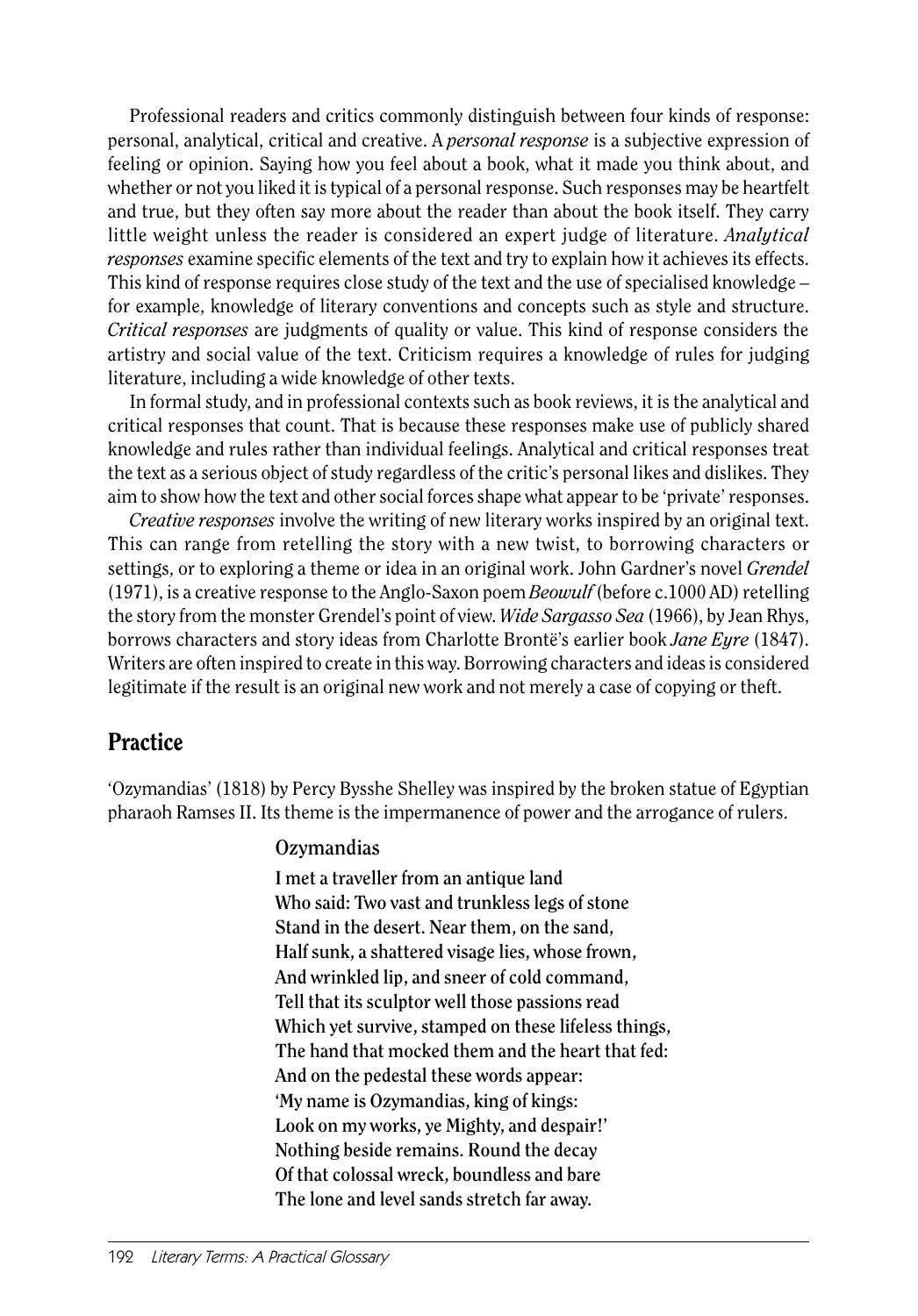Professional readers and critics commonly distinguish between four kinds of response: personal, analytical, critical and creative. A *personal response* is a subjective expression of feeling or opinion. Saying how you feel about a book, what it made you think about, and whether or not you liked it is typical of a personal response. Such responses may be heartfelt and true, but they often say more about the reader than about the book itself. They carry little weight unless the reader is considered an expert judge of literature. *Analytical responses* examine specific elements of the text and try to explain how it achieves its effects. This kind of response requires close study of the text and the use of specialised knowledge – for example, knowledge of literary conventions and concepts such as style and structure. *Critical responses* are judgments of quality or value. This kind of response considers the artistry and social value of the text. Criticism requires a knowledge of rules for judging literature, including a wide knowledge of other texts.

In formal study, and in professional contexts such as book reviews, it is the analytical and critical responses that count. That is because these responses make use of publicly shared knowledge and rules rather than individual feelings. Analytical and critical responses treat the text as a serious object of study regardless of the critic's personal likes and dislikes. They aim to show how the text and other social forces shape what appear to be 'private' responses.

*Creative responses* involve the writing of new literary works inspired by an original text. This can range from retelling the story with a new twist, to borrowing characters or settings, or to exploring a theme or idea in an original work. John Gardner's novel *Grendel*  (1971), is a creative response to the Anglo-Saxon poem *Beowulf* (before c.1000 AD) retelling the story from the monster Grendel's point of view. *Wide Sargasso Sea* (1966), by Jean Rhys, borrows characters and story ideas from Charlotte Brontë's earlier book *Jane Eyre* (1847). Writers are often inspired to create in this way. Borrowing characters and ideas is considered legitimate if the result is an original new work and not merely a case of copying or theft.

## **Practice**

'Ozymandias' (1818) by Percy Bysshe Shelley was inspired by the broken statue of Egyptian pharaoh Ramses II. Its theme is the impermanence of power and the arrogance of rulers.

#### **Ozymandias**

**I met a traveller from an antique land Who said: Two vast and trunkless legs of stone Stand in the desert. Near them, on the sand, Half sunk, a shattered visage lies, whose frown, And wrinkled lip, and sneer of cold command, Tell that its sculptor well those passions read Which yet survive, stamped on these lifeless things, The hand that mocked them and the heart that fed: And on the pedestal these words appear: 'My name is Ozymandias, king of kings: Look on my works, ye Mighty, and despair!' Nothing beside remains. Round the decay Of that colossal wreck, boundless and bare The lone and level sands stretch far away.**